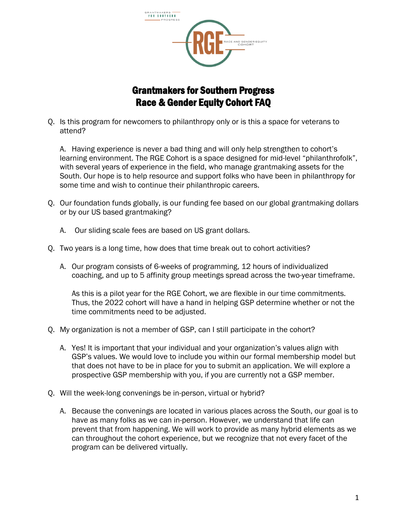

## Grantmakers for Southern Progress Race & Gender Equity Cohort FAQ

Q. Is this program for newcomers to philanthropy only or is this a space for veterans to attend?

A. Having experience is never a bad thing and will only help strengthen to cohort's learning environment. The RGE Cohort is a space designed for mid-level "philanthrofolk", with several years of experience in the field, who manage grantmaking assets for the South. Our hope is to help resource and support folks who have been in philanthropy for some time and wish to continue their philanthropic careers.

- Q. Our foundation funds globally, is our funding fee based on our global grantmaking dollars or by our US based grantmaking?
	- A. Our sliding scale fees are based on US grant dollars.
- Q. Two years is a long time, how does that time break out to cohort activities?
	- A. Our program consists of 6-weeks of programming, 12 hours of individualized coaching, and up to 5 affinity group meetings spread across the two-year timeframe.

As this is a pilot year for the RGE Cohort, we are flexible in our time commitments. Thus, the 2022 cohort will have a hand in helping GSP determine whether or not the time commitments need to be adjusted.

- Q. My organization is not a member of GSP, can I still participate in the cohort?
	- A. Yes! It is important that your individual and your organization's values align with GSP's values. We would love to include you within our formal membership model but that does not have to be in place for you to submit an application. We will explore a prospective GSP membership with you, if you are currently not a GSP member.
- Q. Will the week-long convenings be in-person, virtual or hybrid?
	- A. Because the convenings are located in various places across the South, our goal is to have as many folks as we can in-person. However, we understand that life can prevent that from happening. We will work to provide as many hybrid elements as we can throughout the cohort experience, but we recognize that not every facet of the program can be delivered virtually.